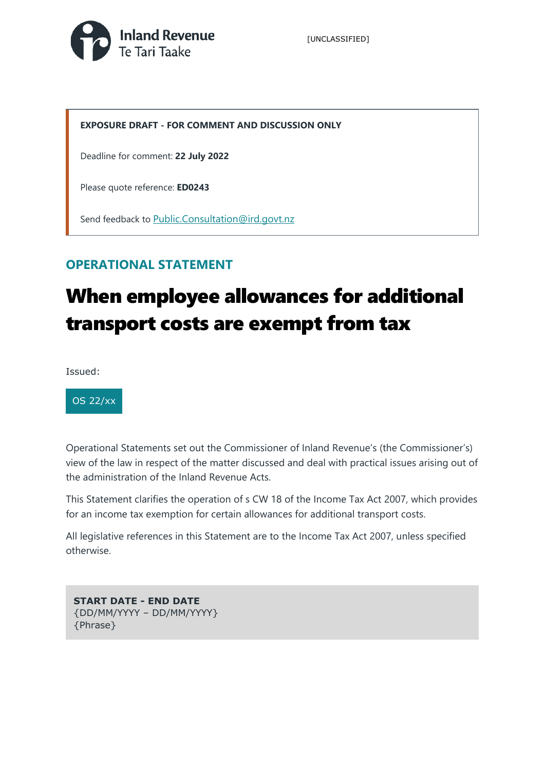

### **EXPOSURE DRAFT - FOR COMMENT AND DISCUSSION ONLY**

Deadline for comment: **22 July 2022**

Please quote reference: **ED0243**

Send feedback to [Public.Consultation@ird.govt.nz](mailto:Public.Consultation@ird.govt.nz?subject=ED0243)

### **OPERATIONAL STATEMENT**

# When employee allowances for additional transport costs are exempt from tax

Issued:



Operational Statements set out the Commissioner of Inland Revenue's (the Commissioner's) view of the law in respect of the matter discussed and deal with practical issues arising out of the administration of the Inland Revenue Acts.

This Statement clarifies the operation of s CW 18 of the Income Tax Act 2007, which provides for an income tax exemption for certain allowances for additional transport costs.

All legislative references in this Statement are to the Income Tax Act 2007, unless specified otherwise.

**START DATE - END DATE** {DD/MM/YYYY – DD/MM/YYYY} {Phrase}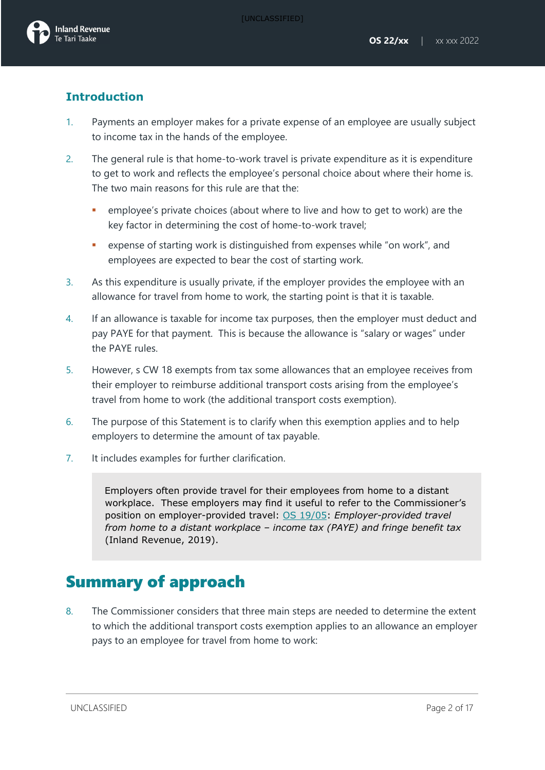### **Introduction**

- 1. Payments an employer makes for a private expense of an employee are usually subject to income tax in the hands of the employee.
- 2. The general rule is that home-to-work travel is private expenditure as it is expenditure to get to work and reflects the employee's personal choice about where their home is. The two main reasons for this rule are that the:
	- employee's private choices (about where to live and how to get to work) are the key factor in determining the cost of home-to-work travel;
	- expense of starting work is distinguished from expenses while "on work", and employees are expected to bear the cost of starting work.
- 3. As this expenditure is usually private, if the employer provides the employee with an allowance for travel from home to work, the starting point is that it is taxable.
- 4. If an allowance is taxable for income tax purposes, then the employer must deduct and pay PAYE for that payment. This is because the allowance is "salary or wages" under the PAYE rules.
- 5. However, s CW 18 exempts from tax some allowances that an employee receives from their employer to reimburse additional transport costs arising from the employee's travel from home to work (the additional transport costs exemption).
- 6. The purpose of this Statement is to clarify when this exemption applies and to help employers to determine the amount of tax payable.
- 7. It includes examples for further clarification.

Employers often provide travel for their employees from home to a distant workplace. These employers may find it useful to refer to the Commissioner's position on employer-provided travel: [OS 19/05:](https://www.taxtechnical.ird.govt.nz/operational-statements/os-1905-employer-provided-travel-from-home-to-a-distant-workplace-income-tax-paye-and-fringe-benefit) *Employer-provided travel from home to a distant workplace – income tax (PAYE) and fringe benefit tax*  (Inland Revenue, 2019).

# Summary of approach

8. The Commissioner considers that three main steps are needed to determine the extent to which the additional transport costs exemption applies to an allowance an employer pays to an employee for travel from home to work: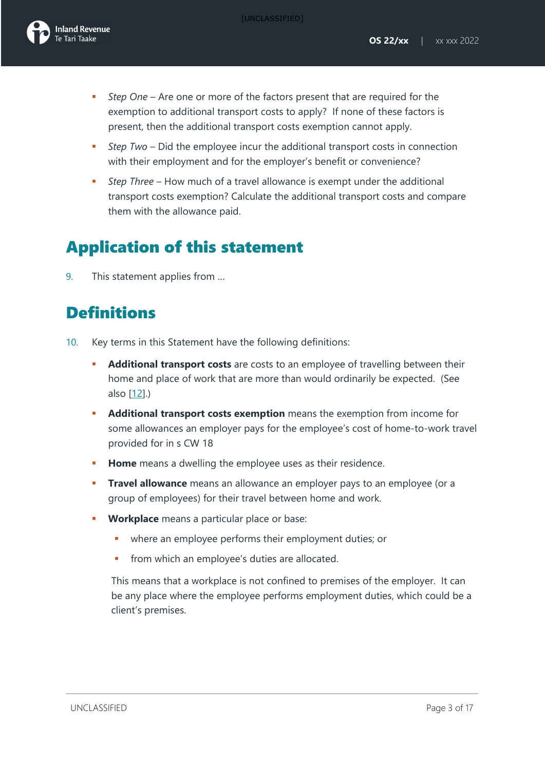

- *Step One* Are one or more of the factors present that are required for the exemption to additional transport costs to apply? If none of these factors is present, then the additional transport costs exemption cannot apply.
- *Step Two*  Did the employee incur the additional transport costs in connection with their employment and for the employer's benefit or convenience?
- *Step Three*  How much of a travel allowance is exempt under the additional transport costs exemption? Calculate the additional transport costs and compare them with the allowance paid.

## Application of this statement

9. This statement applies from …

# **Definitions**

- 10. Key terms in this Statement have the following definitions:
	- **Additional transport costs** are costs to an employee of travelling between their home and place of work that are more than would ordinarily be expected. (See also [\[12\]](#page-3-0).)
	- **Additional transport costs exemption** means the exemption from income for some allowances an employer pays for the employee's cost of home-to-work travel provided for in s CW 18
	- **Home** means a dwelling the employee uses as their residence.
	- **Travel allowance** means an allowance an employer pays to an employee (or a group of employees) for their travel between home and work.
	- **Workplace** means a particular place or base:
		- where an employee performs their employment duties; or
		- from which an employee's duties are allocated.

This means that a workplace is not confined to premises of the employer. It can be any place where the employee performs employment duties, which could be a client's premises.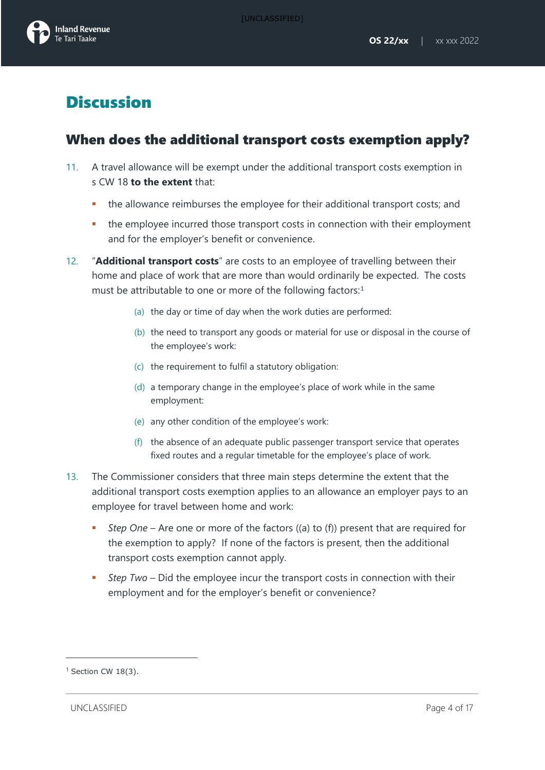# **Discussion**

## When does the additional transport costs exemption apply?

- 11. A travel allowance will be exempt under the additional transport costs exemption in s CW 18 **to the extent** that:
	- the allowance reimburses the employee for their additional transport costs; and
	- the employee incurred those transport costs in connection with their employment and for the employer's benefit or convenience.
- <span id="page-3-0"></span>12. "**Additional transport costs**" are costs to an employee of travelling between their home and place of work that are more than would ordinarily be expected. The costs must be attributable to one or more of the following factors:<sup>[1](#page-3-1)</sup>
	- (a) the day or time of day when the work duties are performed:
	- (b) the need to transport any goods or material for use or disposal in the course of the employee's work:
	- (c) the requirement to fulfil a statutory obligation:
	- (d) a temporary change in the employee's place of work while in the same employment:
	- (e) any other condition of the employee's work:
	- (f) the absence of an adequate public passenger transport service that operates fixed routes and a regular timetable for the employee's place of work.
- 13. The Commissioner considers that three main steps determine the extent that the additional transport costs exemption applies to an allowance an employer pays to an employee for travel between home and work:
	- *Step One* Are one or more of the factors ((a) to (f)) present that are required for the exemption to apply? If none of the factors is present, then the additional transport costs exemption cannot apply.
	- *Step Two*  Did the employee incur the transport costs in connection with their employment and for the employer's benefit or convenience?

UNCLASSIFIED Page 4 of 17

<span id="page-3-1"></span> $1$  Section CW 18(3).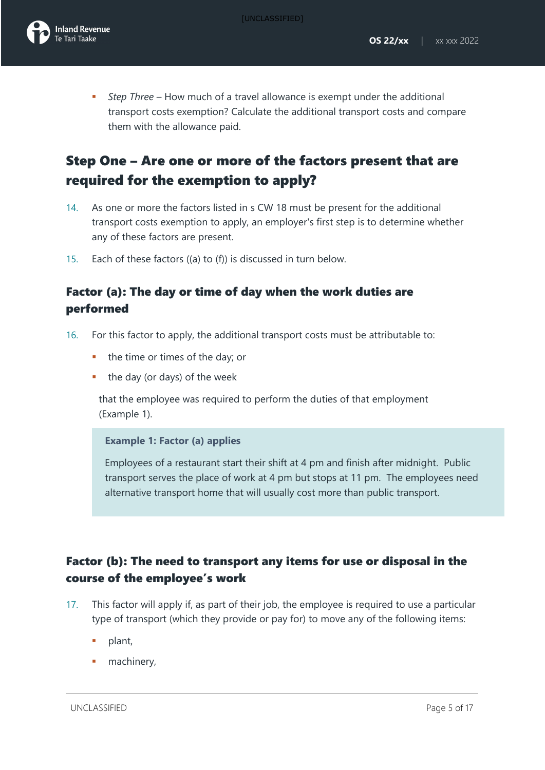*Step Three* – How much of a travel allowance is exempt under the additional transport costs exemption? Calculate the additional transport costs and compare them with the allowance paid.

## Step One – Are one or more of the factors present that are required for the exemption to apply?

- 14. As one or more the factors listed in s CW 18 must be present for the additional transport costs exemption to apply, an employer's first step is to determine whether any of these factors are present.
- 15. Each of these factors ((a) to (f)) is discussed in turn below.

### Factor (a): The day or time of day when the work duties are performed

- 16. For this factor to apply, the additional transport costs must be attributable to:
	- the time or times of the day; or
	- the day (or days) of the week

that the employee was required to perform the duties of that employment (Example 1).

### **Example 1: Factor (a) applies**

Employees of a restaurant start their shift at 4 pm and finish after midnight. Public transport serves the place of work at 4 pm but stops at 11 pm. The employees need alternative transport home that will usually cost more than public transport.

### Factor (b): The need to transport any items for use or disposal in the course of the employee's work

- 17. This factor will apply if, as part of their job, the employee is required to use a particular type of transport (which they provide or pay for) to move any of the following items:
	- plant,
	- machinery,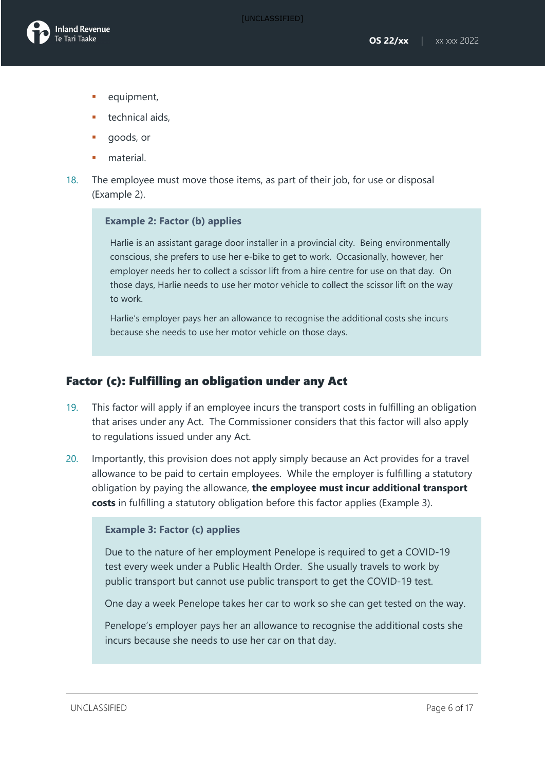- equipment,
- technical aids,
- goods, or
- material.
- 18. The employee must move those items, as part of their job, for use or disposal (Example 2).

### **Example 2: Factor (b) applies**

Harlie is an assistant garage door installer in a provincial city. Being environmentally conscious, she prefers to use her e-bike to get to work. Occasionally, however, her employer needs her to collect a scissor lift from a hire centre for use on that day. On those days, Harlie needs to use her motor vehicle to collect the scissor lift on the way to work.

Harlie's employer pays her an allowance to recognise the additional costs she incurs because she needs to use her motor vehicle on those days.

### Factor (c): Fulfilling an obligation under any Act

- 19. This factor will apply if an employee incurs the transport costs in fulfilling an obligation that arises under any Act. The Commissioner considers that this factor will also apply to regulations issued under any Act.
- 20. Importantly, this provision does not apply simply because an Act provides for a travel allowance to be paid to certain employees. While the employer is fulfilling a statutory obligation by paying the allowance, **the employee must incur additional transport costs** in fulfilling a statutory obligation before this factor applies (Example 3).

### **Example 3: Factor (c) applies**

Due to the nature of her employment Penelope is required to get a COVID-19 test every week under a Public Health Order. She usually travels to work by public transport but cannot use public transport to get the COVID-19 test.

One day a week Penelope takes her car to work so she can get tested on the way.

Penelope's employer pays her an allowance to recognise the additional costs she incurs because she needs to use her car on that day.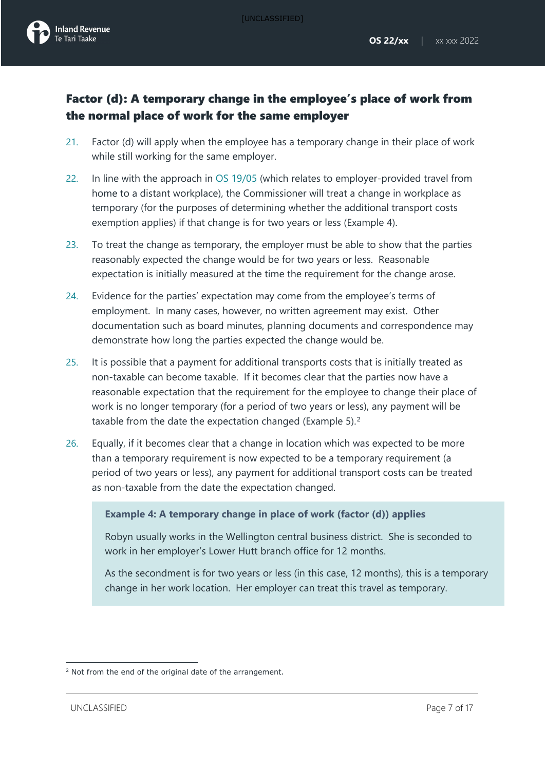

- 21. Factor (d) will apply when the employee has a temporary change in their place of work while still working for the same employer.
- 22. In line with the approach in [OS 19/05](https://www.taxtechnical.ird.govt.nz/operational-statements/os-1905-employer-provided-travel-from-home-to-a-distant-workplace-income-tax-paye-and-fringe-benefit) (which relates to employer-provided travel from home to a distant workplace), the Commissioner will treat a change in workplace as temporary (for the purposes of determining whether the additional transport costs exemption applies) if that change is for two years or less (Example 4).
- 23. To treat the change as temporary, the employer must be able to show that the parties reasonably expected the change would be for two years or less. Reasonable expectation is initially measured at the time the requirement for the change arose.
- 24. Evidence for the parties' expectation may come from the employee's terms of employment. In many cases, however, no written agreement may exist. Other documentation such as board minutes, planning documents and correspondence may demonstrate how long the parties expected the change would be.
- 25. It is possible that a payment for additional transports costs that is initially treated as non-taxable can become taxable. If it becomes clear that the parties now have a reasonable expectation that the requirement for the employee to change their place of work is no longer temporary (for a period of two years or less), any payment will be taxable from the date the expectation changed (Example 5). [2](#page-6-0)
- 26. Equally, if it becomes clear that a change in location which was expected to be more than a temporary requirement is now expected to be a temporary requirement (a period of two years or less), any payment for additional transport costs can be treated as non-taxable from the date the expectation changed.

#### **Example 4: A temporary change in place of work (factor (d)) applies**

Robyn usually works in the Wellington central business district. She is seconded to work in her employer's Lower Hutt branch office for 12 months.

As the secondment is for two years or less (in this case, 12 months), this is a temporary change in her work location. Her employer can treat this travel as temporary.

<span id="page-6-0"></span><sup>&</sup>lt;sup>2</sup> Not from the end of the original date of the arrangement.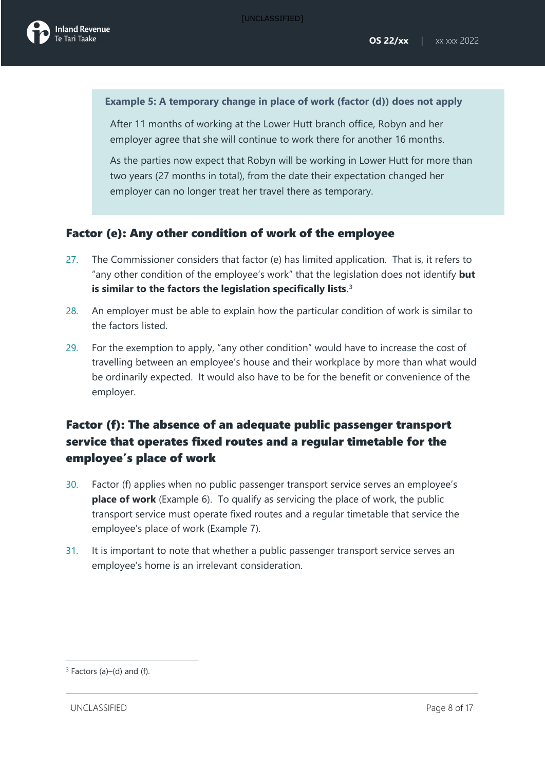

#### **Example 5: A temporary change in place of work (factor (d)) does not apply**

After 11 months of working at the Lower Hutt branch office, Robyn and her employer agree that she will continue to work there for another 16 months.

As the parties now expect that Robyn will be working in Lower Hutt for more than two years (27 months in total), from the date their expectation changed her employer can no longer treat her travel there as temporary.

### Factor (e): Any other condition of work of the employee

- 27. The Commissioner considers that factor (e) has limited application. That is, it refers to "any other condition of the employee's work" that the legislation does not identify **but is similar to the factors the legislation specifically lists**. [3](#page-7-0)
- 28. An employer must be able to explain how the particular condition of work is similar to the factors listed.
- 29. For the exemption to apply, "any other condition" would have to increase the cost of travelling between an employee's house and their workplace by more than what would be ordinarily expected. It would also have to be for the benefit or convenience of the employer.

### Factor (f): The absence of an adequate public passenger transport service that operates fixed routes and a regular timetable for the employee's place of work

- <span id="page-7-1"></span>30. Factor (f) applies when no public passenger transport service serves an employee's **place of work** (Example 6). To qualify as servicing the place of work, the public transport service must operate fixed routes and a regular timetable that service the employee's place of work (Example 7).
- 31. It is important to note that whether a public passenger transport service serves an employee's home is an irrelevant consideration.

<span id="page-7-0"></span> $3$  Factors (a)–(d) and (f).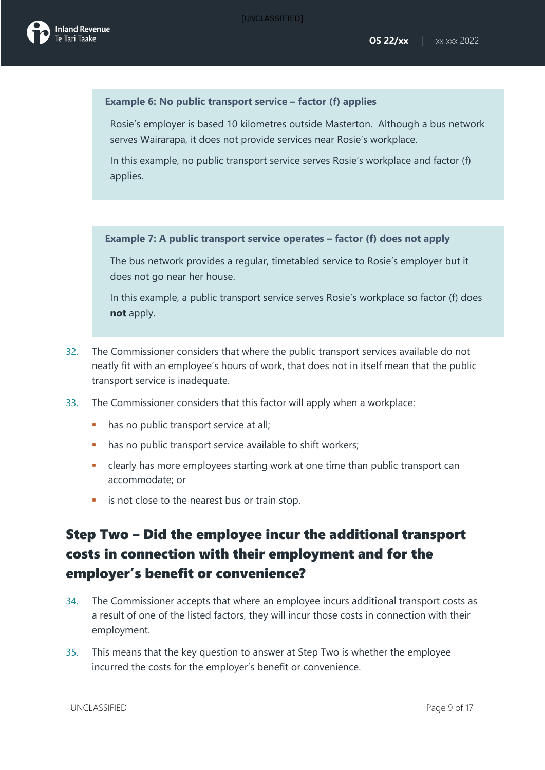### **Example 6: No public transport service – factor (f) applies**

Rosie's employer is based 10 kilometres outside Masterton. Although a bus network serves Wairarapa, it does not provide services near Rosie's workplace.

In this example, no public transport service serves Rosie's workplace and factor (f) applies.

### **Example 7: A public transport service operates – factor (f) does not apply**

The bus network provides a regular, timetabled service to Rosie's employer but it does not go near her house.

In this example, a public transport service serves Rosie's workplace so factor (f) does **not** apply.

- 32. The Commissioner considers that where the public transport services available do not neatly fit with an employee's hours of work, that does not in itself mean that the public transport service is inadequate.
- 33. The Commissioner considers that this factor will apply when a workplace:
	- has no public transport service at all;
	- has no public transport service available to shift workers;
	- clearly has more employees starting work at one time than public transport can accommodate; or
	- is not close to the nearest bus or train stop.

## Step Two – Did the employee incur the additional transport costs in connection with their employment and for the employer's benefit or convenience?

- 34. The Commissioner accepts that where an employee incurs additional transport costs as a result of one of the listed factors, they will incur those costs in connection with their employment.
- 35. This means that the key question to answer at Step Two is whether the employee incurred the costs for the employer's benefit or convenience.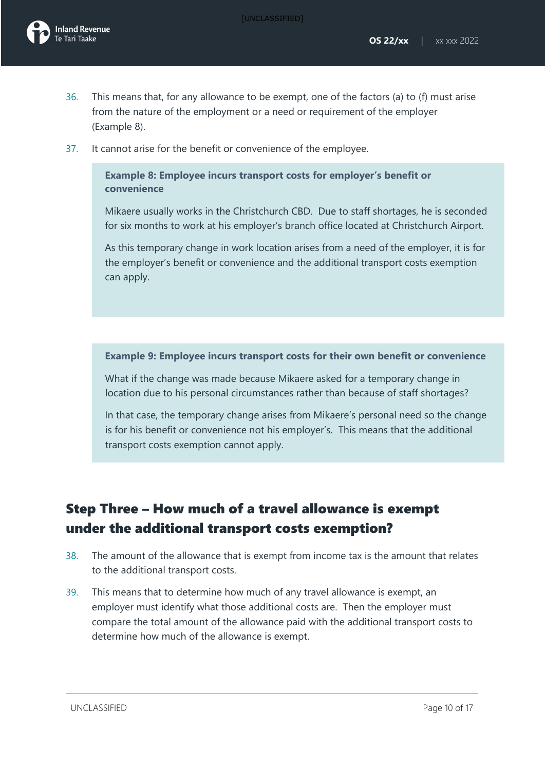

- 36. This means that, for any allowance to be exempt, one of the factors (a) to (f) must arise from the nature of the employment or a need or requirement of the employer (Example 8).
- 37. It cannot arise for the benefit or convenience of the employee.

**Example 8: Employee incurs transport costs for employer's benefit or convenience** 

Mikaere usually works in the Christchurch CBD. Due to staff shortages, he is seconded for six months to work at his employer's branch office located at Christchurch Airport.

As this temporary change in work location arises from a need of the employer, it is for the employer's benefit or convenience and the additional transport costs exemption can apply.

**Example 9: Employee incurs transport costs for their own benefit or convenience**

What if the change was made because Mikaere asked for a temporary change in location due to his personal circumstances rather than because of staff shortages?

In that case, the temporary change arises from Mikaere's personal need so the change is for his benefit or convenience not his employer's. This means that the additional transport costs exemption cannot apply.

## Step Three – How much of a travel allowance is exempt under the additional transport costs exemption?

- 38. The amount of the allowance that is exempt from income tax is the amount that relates to the additional transport costs.
- 39. This means that to determine how much of any travel allowance is exempt, an employer must identify what those additional costs are. Then the employer must compare the total amount of the allowance paid with the additional transport costs to determine how much of the allowance is exempt.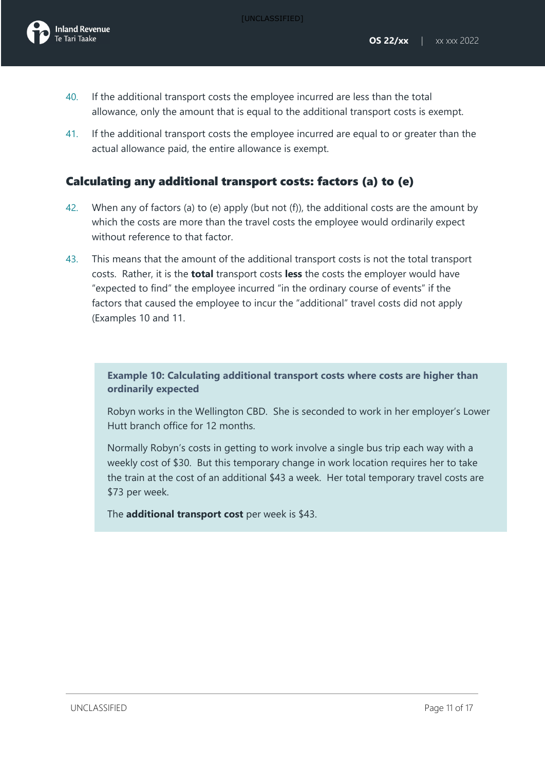- 40. If the additional transport costs the employee incurred are less than the total allowance, only the amount that is equal to the additional transport costs is exempt.
- 41. If the additional transport costs the employee incurred are equal to or greater than the actual allowance paid, the entire allowance is exempt.

### Calculating any additional transport costs: factors (a) to (e)

- 42. When any of factors (a) to (e) apply (but not (f)), the additional costs are the amount by which the costs are more than the travel costs the employee would ordinarily expect without reference to that factor.
- 43. This means that the amount of the additional transport costs is not the total transport costs. Rather, it is the **total** transport costs **less** the costs the employer would have "expected to find" the employee incurred "in the ordinary course of events" if the factors that caused the employee to incur the "additional" travel costs did not apply (Examples 10 and 11.

### **Example 10: Calculating additional transport costs where costs are higher than ordinarily expected**

Robyn works in the Wellington CBD. She is seconded to work in her employer's Lower Hutt branch office for 12 months.

Normally Robyn's costs in getting to work involve a single bus trip each way with a weekly cost of \$30. But this temporary change in work location requires her to take the train at the cost of an additional \$43 a week. Her total temporary travel costs are \$73 per week.

The **additional transport cost** per week is \$43.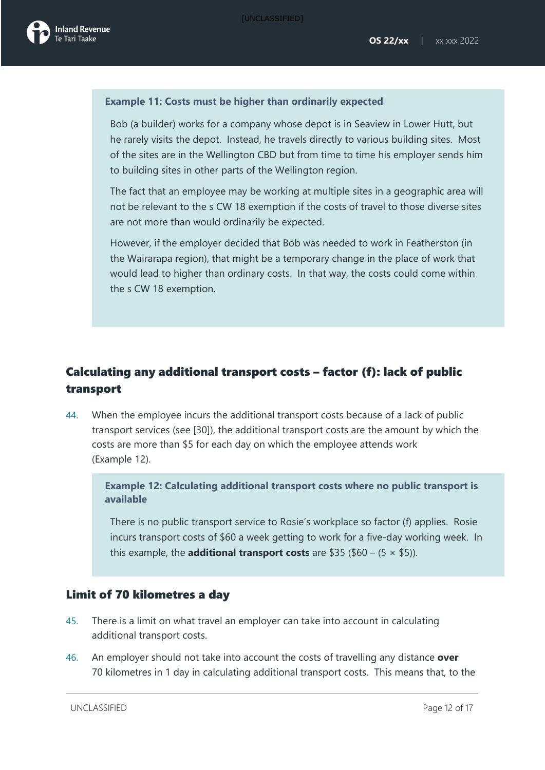

#### **Example 11: Costs must be higher than ordinarily expected**

Bob (a builder) works for a company whose depot is in Seaview in Lower Hutt, but he rarely visits the depot. Instead, he travels directly to various building sites. Most of the sites are in the Wellington CBD but from time to time his employer sends him to building sites in other parts of the Wellington region.

The fact that an employee may be working at multiple sites in a geographic area will not be relevant to the s CW 18 exemption if the costs of travel to those diverse sites are not more than would ordinarily be expected.

However, if the employer decided that Bob was needed to work in Featherston (in the Wairarapa region), that might be a temporary change in the place of work that would lead to higher than ordinary costs. In that way, the costs could come within the s CW 18 exemption.

### Calculating any additional transport costs – factor (f): lack of public transport

44. When the employee incurs the additional transport costs because of a lack of public transport services (see [\[30\]](#page-7-1)), the additional transport costs are the amount by which the costs are more than \$5 for each day on which the employee attends work (Example 12).

**Example 12: Calculating additional transport costs where no public transport is available**

There is no public transport service to Rosie's workplace so factor (f) applies. Rosie incurs transport costs of \$60 a week getting to work for a five-day working week. In this example, the **additional transport costs** are \$35 (\$60 –  $(5 \times $5)$ ).

### Limit of 70 kilometres a day

- 45. There is a limit on what travel an employer can take into account in calculating additional transport costs.
- 46. An employer should not take into account the costs of travelling any distance **over** 70 kilometres in 1 day in calculating additional transport costs. This means that, to the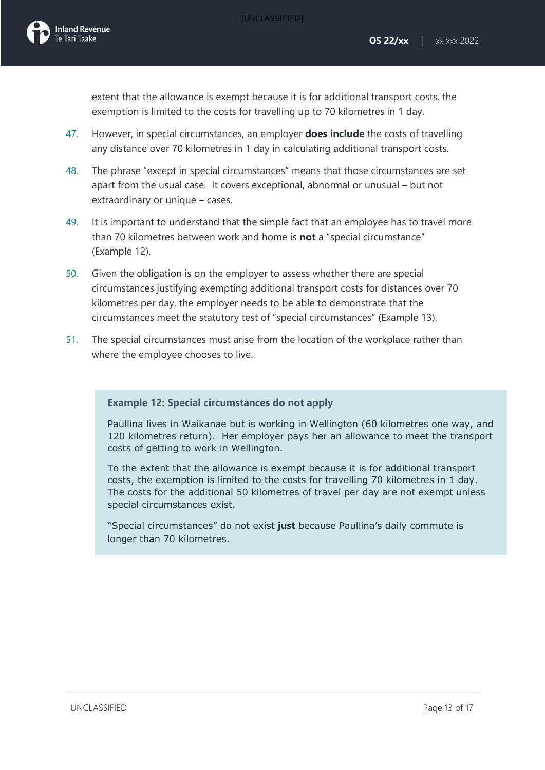extent that the allowance is exempt because it is for additional transport costs, the exemption is limited to the costs for travelling up to 70 kilometres in 1 day.

- 47. However, in special circumstances, an employer **does include** the costs of travelling any distance over 70 kilometres in 1 day in calculating additional transport costs.
- 48. The phrase "except in special circumstances" means that those circumstances are set apart from the usual case. It covers exceptional, abnormal or unusual – but not extraordinary or unique – cases.
- 49. It is important to understand that the simple fact that an employee has to travel more than 70 kilometres between work and home is **not** a "special circumstance" (Example 12).
- 50. Given the obligation is on the employer to assess whether there are special circumstances justifying exempting additional transport costs for distances over 70 kilometres per day, the employer needs to be able to demonstrate that the circumstances meet the statutory test of "special circumstances" (Example 13).
- 51. The special circumstances must arise from the location of the workplace rather than where the employee chooses to live.

### **Example 12: Special circumstances do not apply**

Paullina lives in Waikanae but is working in Wellington (60 kilometres one way, and 120 kilometres return). Her employer pays her an allowance to meet the transport costs of getting to work in Wellington.

To the extent that the allowance is exempt because it is for additional transport costs, the exemption is limited to the costs for travelling 70 kilometres in 1 day. The costs for the additional 50 kilometres of travel per day are not exempt unless special circumstances exist.

"Special circumstances" do not exist **just** because Paullina's daily commute is longer than 70 kilometres.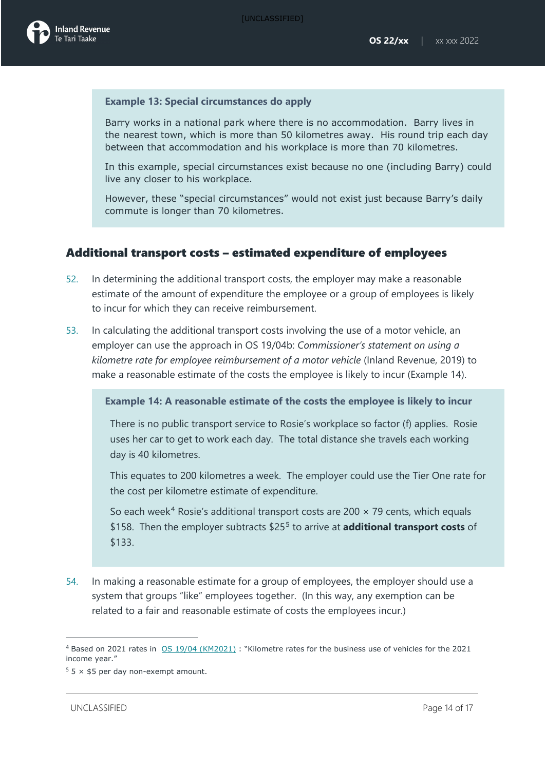[UNCLASSIFIED]



#### **Example 13: Special circumstances do apply**

Barry works in a national park where there is no accommodation. Barry lives in the nearest town, which is more than 50 kilometres away. His round trip each day between that accommodation and his workplace is more than 70 kilometres.

In this example, special circumstances exist because no one (including Barry) could live any closer to his workplace.

However, these "special circumstances" would not exist just because Barry's daily commute is longer than 70 kilometres.

### Additional transport costs – estimated expenditure of employees

- 52. In determining the additional transport costs, the employer may make a reasonable estimate of the amount of expenditure the employee or a group of employees is likely to incur for which they can receive reimbursement.
- 53. In calculating the additional transport costs involving the use of a motor vehicle, an employer can use the approach in [OS 19/04b:](https://www.taxtechnical.ird.govt.nz/operational-statements/os-1904-b-commissioner-s-statement-on-using-a-kilometre-rate-for-employee-reimbursement-of-a-motor-v) *Commissioner's statement on using a kilometre rate for employee reimbursement of a motor vehicle* (Inland Revenue, 2019) to make a reasonable estimate of the costs the employee is likely to incur (Example 14).

**Example 14: A reasonable estimate of the costs the employee is likely to incur**

There is no public transport service to Rosie's workplace so factor (f) applies. Rosie uses her car to get to work each day. The total distance she travels each working day is 40 kilometres.

This equates to 200 kilometres a week. The employer could use the Tier One rate for the cost per kilometre estimate of expenditure.

So each week<sup>[4](#page-13-0)</sup> Rosie's additional transport costs are 200  $\times$  79 cents, which equals \$158. Then the employer subtracts \$25[5](#page-13-1) to arrive at **additional transport costs** of \$133.

54. In making a reasonable estimate for a group of employees, the employer should use a system that groups "like" employees together. (In this way, any exemption can be related to a fair and reasonable estimate of costs the employees incur.)

<span id="page-13-0"></span><sup>4</sup> Based on 2021 rates in [OS 19/04 \(KM2021\)](http://www.taxtechnical.ird.govt.nz/operational-statements/2021/05-19-04-km-2021) : "Kilometre rates for the business use of vehicles for the 2021 income year."

<span id="page-13-1"></span> $55 \times $5$  per day non-exempt amount.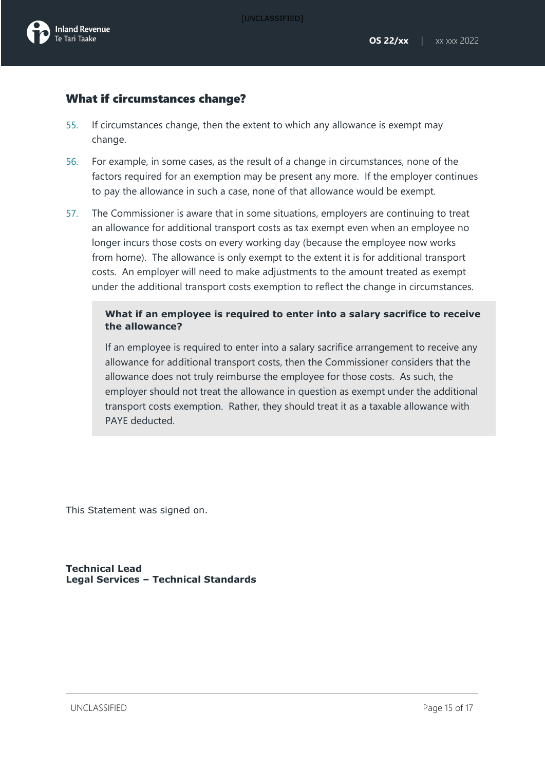### What if circumstances change?

- 55. If circumstances change, then the extent to which any allowance is exempt may change.
- 56. For example, in some cases, as the result of a change in circumstances, none of the factors required for an exemption may be present any more. If the employer continues to pay the allowance in such a case, none of that allowance would be exempt.
- 57. The Commissioner is aware that in some situations, employers are continuing to treat an allowance for additional transport costs as tax exempt even when an employee no longer incurs those costs on every working day (because the employee now works from home). The allowance is only exempt to the extent it is for additional transport costs. An employer will need to make adjustments to the amount treated as exempt under the additional transport costs exemption to reflect the change in circumstances.

### **What if an employee is required to enter into a salary sacrifice to receive the allowance?**

If an employee is required to enter into a salary sacrifice arrangement to receive any allowance for additional transport costs, then the Commissioner considers that the allowance does not truly reimburse the employee for those costs. As such, the employer should not treat the allowance in question as exempt under the additional transport costs exemption. Rather, they should treat it as a taxable allowance with PAYE deducted.

This Statement was signed on.

**Technical Lead Legal Services – Technical Standards**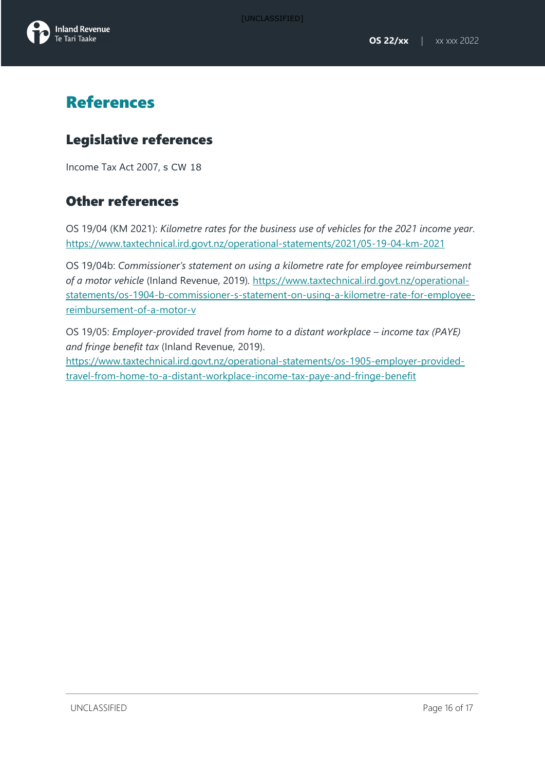

# References

### Legislative references

Income Tax Act 2007, s CW 18

### Other references

OS 19/04 (KM 2021): *Kilometre rates for the business use of vehicles for the 2021 income year*. <https://www.taxtechnical.ird.govt.nz/operational-statements/2021/05-19-04-km-2021>

OS 19/04b: *Commissioner's statement on using a kilometre rate for employee reimbursement of a motor vehicle* (Inland Revenue, 2019)*.* [https://www.taxtechnical.ird.govt.nz/operational](https://www.taxtechnical.ird.govt.nz/operational-statements/os-1904-b-commissioner-s-statement-on-using-a-kilometre-rate-for-employee-reimbursement-of-a-motor-v)[statements/os-1904-b-commissioner-s-statement-on-using-a-kilometre-rate-for-employee](https://www.taxtechnical.ird.govt.nz/operational-statements/os-1904-b-commissioner-s-statement-on-using-a-kilometre-rate-for-employee-reimbursement-of-a-motor-v)[reimbursement-of-a-motor-v](https://www.taxtechnical.ird.govt.nz/operational-statements/os-1904-b-commissioner-s-statement-on-using-a-kilometre-rate-for-employee-reimbursement-of-a-motor-v) 

OS 19/05: *Employer-provided travel from home to a distant workplace – income tax (PAYE) and fringe benefit tax* (Inland Revenue, 2019).

[https://www.taxtechnical.ird.govt.nz/operational-statements/os-1905-employer-provided](https://www.taxtechnical.ird.govt.nz/operational-statements/os-1905-employer-provided-travel-from-home-to-a-distant-workplace-income-tax-paye-and-fringe-benefit)[travel-from-home-to-a-distant-workplace-income-tax-paye-and-fringe-benefit](https://www.taxtechnical.ird.govt.nz/operational-statements/os-1905-employer-provided-travel-from-home-to-a-distant-workplace-income-tax-paye-and-fringe-benefit)